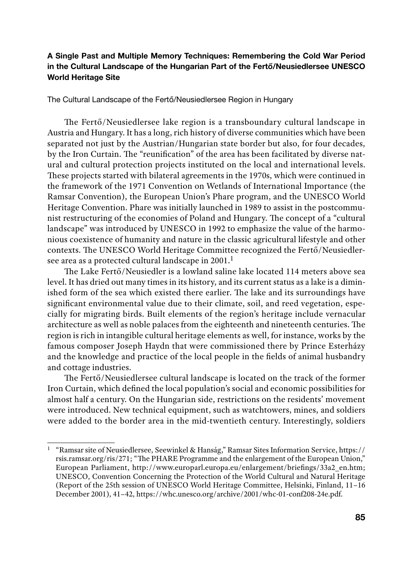# A Single Past and Multiple Memory Techniques: Remembering the Cold War Period in the Cultural Landscape of the Hungarian Part of the Fertő/Neusiedlersee UNESCO World Heritage Site

The Cultural Landscape of the Fertő/Neusiedlersee Region in Hungary

The Fertő/Neusiedlersee lake region is a transboundary cultural landscape in Austria and Hungary. It has a long, rich history of diverse communities which have been separated not just by the Austrian/Hungarian state border but also, for four decades, by the Iron Curtain. The "reunification" of the area has been facilitated by diverse natural and cultural protection projects instituted on the local and international levels. These projects started with bilateral agreements in the 1970s, which were continued in the framework of the 1971 Convention on Wetlands of International Importance (the Ramsar Convention), the European Union's Phare program, and the UNESCO World Heritage Convention. Phare was initially launched in 1989 to assist in the postcommunist restructuring of the economies of Poland and Hungary. The concept of a "cultural landscape" was introduced by UNESCO in 1992 to emphasize the value of the harmonious coexistence of humanity and nature in the classic agricultural lifestyle and other contexts. The UNESCO World Heritage Committee recognized the Fertő/Neusiedlersee area as a protected cultural landscape in 2001.<sup>1</sup>

The Lake Fertő/Neusiedler is a lowland saline lake located 114 meters above sea level. It has dried out many times in its history, and its current status as a lake is a diminished form of the sea which existed there earlier. The lake and its surroundings have significant environmental value due to their climate, soil, and reed vegetation, especially for migrating birds. Built elements of the region's heritage include vernacular architecture as well as noble palaces from the eighteenth and nineteenth centuries. The region is rich in intangible cultural heritage elements as well, for instance, works by the famous composer Joseph Haydn that were commissioned there by Prince Esterházy and the knowledge and practice of the local people in the fields of animal husbandry and cottage industries.

The Fertő/Neusiedlersee cultural landscape is located on the track of the former Iron Curtain, which defined the local population's social and economic possibilities for almost half a century. On the Hungarian side, restrictions on the residents' movement were introduced. New technical equipment, such as watchtowers, mines, and soldiers were added to the border area in the mid-twentieth century. Interestingly, soldiers

<sup>1</sup> "Ramsar site of Neusiedlersee, Seewinkel & Hanság," Ramsar Sites Information Service, https:// rsis.ramsar.org/ris/271; "The PHARE Programme and the enlargement of the European Union," European Parliament, http://www.europarl.europa.eu/enlargement/briefings/33a2\_en.htm; UNESCO, Convention Concerning the Protection of the World Cultural and Natural Heritage (Report of the 25th session of UNESCO World Heritage Committee, Helsinki, Finland, 11–16 December 2001), 41–42, https://whc.unesco.org/archive/2001/whc-01-conf208-24e.pdf.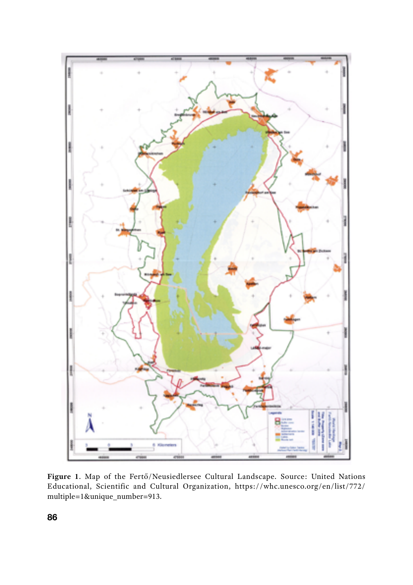

**Figure 1**. Map of the Fertő/Neusiedlersee Cultural Landscape. Source: United Nations Educational, Scientific and Cultural Organization, https://whc.unesco.org/en/list/772/ multiple=1&unique\_number=913.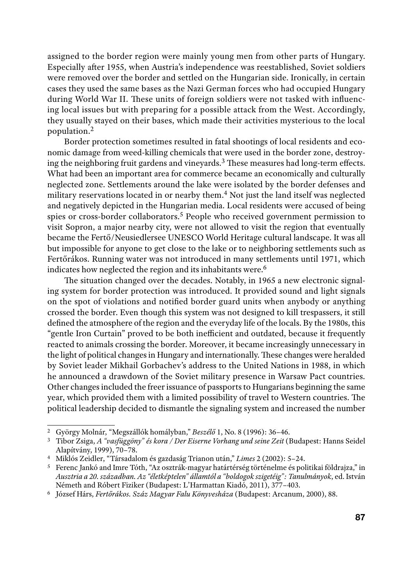assigned to the border region were mainly young men from other parts of Hungary. Especially after 1955, when Austria's independence was reestablished, Soviet soldiers were removed over the border and settled on the Hungarian side. Ironically, in certain cases they used the same bases as the Nazi German forces who had occupied Hungary during World War II. These units of foreign soldiers were not tasked with influencing local issues but with preparing for a possible attack from the West. Accordingly, they usually stayed on their bases, which made their activities mysterious to the local population.<sup>2</sup>

Border protection sometimes resulted in fatal shootings of local residents and economic damage from weed-killing chemicals that were used in the border zone, destroying the neighboring fruit gardens and vineyards.3 These measures had long-term effects. What had been an important area for commerce became an economically and culturally neglected zone. Settlements around the lake were isolated by the border defenses and military reservations located in or nearby them.4 Not just the land itself was neglected and negatively depicted in the Hungarian media. Local residents were accused of being spies or cross-border collaborators.<sup>5</sup> People who received government permission to visit Sopron, a major nearby city, were not allowed to visit the region that eventually became the Fertő/Neusiedlersee UNESCO World Heritage cultural landscape. It was all but impossible for anyone to get close to the lake or to neighboring settlements such as Fertőrákos. Running water was not introduced in many settlements until 1971, which indicates how neglected the region and its inhabitants were.<sup>6</sup>

The situation changed over the decades. Notably, in 1965 a new electronic signaling system for border protection was introduced. It provided sound and light signals on the spot of violations and notified border guard units when anybody or anything crossed the border. Even though this system was not designed to kill trespassers, it still defined the atmosphere of the region and the everyday life of the locals. By the 1980s, this "gentle Iron Curtain" proved to be both inefficient and outdated, because it frequently reacted to animals crossing the border. Moreover, it became increasingly unnecessary in the light of political changes in Hungary and internationally. These changes were heralded by Soviet leader Mikhail Gorbachev's address to the United Nations in 1988, in which he announced a drawdown of the Soviet military presence in Warsaw Pact countries. Other changes included the freer issuance of passports to Hungarians beginning the same year, which provided them with a limited possibility of travel to Western countries. The political leadership decided to dismantle the signaling system and increased the number

<sup>2</sup> György Molnár, "Megszállók homályban," *Beszélő* 1, No. 8 (1996): 36–46. 3 Tibor Zsiga, *A "vasfüggöny" és kora / Der Eiserne Vorhang und seine Zeit* (Budapest: Hanns Seidel Alapítvány, 1999), 70–78. 4 Miklós Zeidler, "Társadalom és gazdaság Trianon után," *Limes* 2 (2002): 5–24. 5 Ferenc Jankó and Imre Tóth, "Az osztrák-magyar határtérség történelme és politikai földrajza," in

*Ausztria a 20. században. Az "életképtelen" államtól a "boldogok szigetéig": Tanulmányok*, ed. István Németh and Róbert Fiziker (Budapest: L'Harmattan Kiadó, 2011), 377–403.

<sup>6</sup> József Hárs, *Fertőrákos. Száz Magyar Falu Könyvesháza* (Budapest: Arcanum, 2000), 88.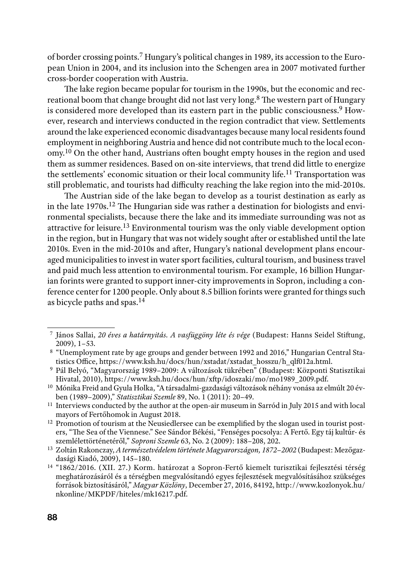of border crossing points.7 Hungary's political changes in 1989, its accession to the European Union in 2004, and its inclusion into the Schengen area in 2007 motivated further cross-border cooperation with Austria.

The lake region became popular for tourism in the 1990s, but the economic and recreational boom that change brought did not last very long.8 The western part of Hungary is considered more developed than its eastern part in the public consciousness.<sup>9</sup> However, research and interviews conducted in the region contradict that view. Settlements around the lake experienced economic disadvantages because many local residents found employment in neighboring Austria and hence did not contribute much to the local economy.10 On the other hand, Austrians often bought empty houses in the region and used them as summer residences. Based on on-site interviews, that trend did little to energize the settlements' economic situation or their local community life.11 Transportation was still problematic, and tourists had difficulty reaching the lake region into the mid-2010s.

The Austrian side of the lake began to develop as a tourist destination as early as in the late 1970s.12 The Hungarian side was rather a destination for biologists and environmental specialists, because there the lake and its immediate surrounding was not as attractive for leisure.13 Environmental tourism was the only viable development option in the region, but in Hungary that was not widely sought after or established until the late 2010s. Even in the mid-2010s and after, Hungary's national development plans encouraged municipalities to invest in water sport facilities, cultural tourism, and business travel and paid much less attention to environmental tourism. For example, 16 billion Hungarian forints were granted to support inner-city improvements in Sopron, including a conference center for 1200 people. Only about 8.5 billion forints were granted for things such as bicycle paths and spas.14

<sup>7</sup> János Sallai, *20 éves a határnyitás. A vasfüggöny léte és vége* (Budapest: Hanns Seidel Stiftung,  $2009$ ),  $1-53$ .

<sup>8</sup> "Unemployment rate by age groups and gender between 1992 and 2016," Hungarian Central Statistics Office, https://www.ksh.hu/docs/hun/xstadat/xstadat\_hosszu/h\_qlf012a.html.

<sup>9</sup> Pál Belyó, "Magyarország 1989–2009: A változások tükrében" (Budapest: Központi Statisztikai Hivatal, 2010), https://www.ksh.hu/docs/hun/xftp/idoszaki/mo/mo1989\_2009.pdf.

<sup>10</sup> Mónika Freid and Gyula Holka, "A társadalmi-gazdasági változások néhány vonása az elmúlt 20 évben (1989–2009)," *Statisztikai Szemle* 89, No. 1 (2011): 20–49.

<sup>&</sup>lt;sup>11</sup> Interviews conducted by the author at the open-air museum in Sarród in July 2015 and with local mayors of Fertőhomok in August 2018.

<sup>&</sup>lt;sup>12</sup> Promotion of tourism at the Neusiedlersee can be exemplified by the slogan used in tourist posters, "The Sea of the Viennese." See Sándor Békési, "Fenséges pocsolya: A Fertő. Egy táj kultúr- és

szemlélettörténetéről," *Soproni Szemle* 63, No. 2 (2009): 188–208, 202. 13 Zoltán Rakonczay, *A természetvédelem története Magyarországon, 1872–2002* (Budapest: Mezőgaz-

<sup>&</sup>lt;sup>14</sup> "1862/2016. (XII. 27.) Korm. határozat a Sopron-Fertő kiemelt turisztikai fejlesztési térség meghatározásáról és a térségben megvalósítandó egyes fejlesztések megvalósításához szükséges források biztosításáról," *Magyar Közlöny*, December 27, 2016, 84192, http://www.kozlonyok.hu/ nkonline/MKPDF/hiteles/mk16217.pdf.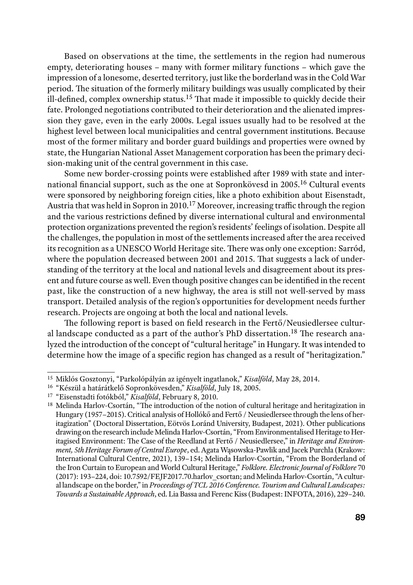Based on observations at the time, the settlements in the region had numerous empty, deteriorating houses – many with former military functions – which gave the impression of a lonesome, deserted territory, just like the borderland was in the Cold War period. The situation of the formerly military buildings was usually complicated by their ill-defined, complex ownership status.15 That made it impossible to quickly decide their fate. Prolonged negotiations contributed to their deterioration and the alienated impression they gave, even in the early 2000s. Legal issues usually had to be resolved at the highest level between local municipalities and central government institutions. Because most of the former military and border guard buildings and properties were owned by state, the Hungarian National Asset Management corporation has been the primary decision-making unit of the central government in this case.

Some new border-crossing points were established after 1989 with state and international financial support, such as the one at Sopronkövesd in 2005.16 Cultural events were sponsored by neighboring foreign cities, like a photo exhibition about Eisenstadt, Austria that was held in Sopron in 2010.17 Moreover, increasing traffic through the region and the various restrictions defined by diverse international cultural and environmental protection organizations prevented the region's residents' feelings of isolation. Despite all the challenges, the population in most of the settlements increased after the area received its recognition as a UNESCO World Heritage site. There was only one exception: Sarród, where the population decreased between 2001 and 2015. That suggests a lack of understanding of the territory at the local and national levels and disagreement about its present and future course as well. Even though positive changes can be identified in the recent past, like the construction of a new highway, the area is still not well-served by mass transport. Detailed analysis of the region's opportunities for development needs further research. Projects are ongoing at both the local and national levels.

The following report is based on field research in the Fertő/Neusiedlersee cultural landscape conducted as a part of the author's PhD dissertation.18 The research analyzed the introduction of the concept of "cultural heritage" in Hungary. It was intended to determine how the image of a specific region has changed as a result of "heritagization."

<sup>15</sup> Miklós Gosztonyi, "Parkolópályán az igényelt ingatlanok," *Kisalföld*, May 28, 2014.

<sup>16</sup> "Készül a határátkelő Sopronkövesden," *Kisalföld*, July 18, 2005.

<sup>17</sup> "Eisenstadti fotókból," *Kisalföld*, February 8, 2010.

<sup>&</sup>lt;sup>18</sup> Melinda Harlov-Csortán, "The introduction of the notion of cultural heritage and heritagization in Hungary (1957–2015). Critical analysis of Hollókő and Fertő / Neusiedlersee through the lens of heritagization" (Doctoral Dissertation, Eötvös Loránd University, Budapest, 2021). Other publications drawing on the research include Melinda Harlov-Csortán, "From Environmentalised Heritage to Heritagised Environment: The Case of the Reedland at Fertő / Neusiedlersee," in *Heritage and Environment, 5th Heritage Forum of Central Europe*, ed. Agata Wąsowska-Pawlik and Jacek Purchla (Krakow: International Cultural Centre, 2021), 139–154; Melinda Harlov-Csortán, "From the Borderland of the Iron Curtain to European and World Cultural Heritage," *Folklore. Electronic Journal of Folklore* 70 (2017): 193–224, doi: 10.7592/FEJF2017.70.harlov\_csortan; and Melinda Harlov-Csortán, "A cultural landscape on the border," in *Proceedings of TCL 2016 Conference. Tourism and Cultural Landscapes: Towards a Sustainable Approach*, ed. Lia Bassa and Ferenc Kiss (Budapest: INFOTA, 2016), 229–240.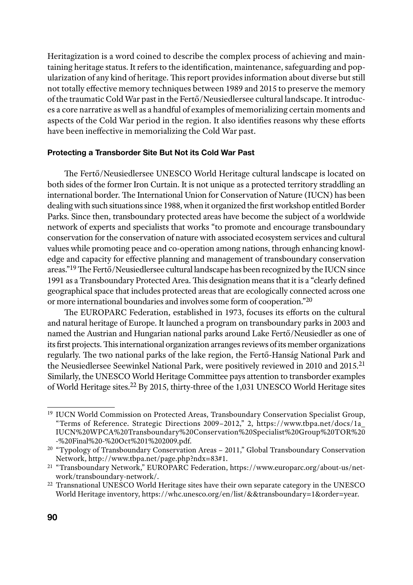Heritagization is a word coined to describe the complex process of achieving and maintaining heritage status. It refers to the identification, maintenance, safeguarding and popularization of any kind of heritage. This report provides information about diverse but still not totally effective memory techniques between 1989 and 2015 to preserve the memory of the traumatic Cold War past in the Fertő/Neusiedlersee cultural landscape. It introduces a core narrative as well as a handful of examples of memorializing certain moments and aspects of the Cold War period in the region. It also identifies reasons why these efforts have been ineffective in memorializing the Cold War past.

#### Protecting a Transborder Site But Not its Cold War Past

The Fertő/Neusiedlersee UNESCO World Heritage cultural landscape is located on both sides of the former Iron Curtain. It is not unique as a protected territory straddling an international border. The International Union for Conservation of Nature (IUCN) has been dealing with such situations since 1988, when it organized the first workshop entitled Border Parks. Since then, transboundary protected areas have become the subject of a worldwide network of experts and specialists that works "to promote and encourage transboundary conservation for the conservation of nature with associated ecosystem services and cultural values while promoting peace and co-operation among nations, through enhancing knowledge and capacity for effective planning and management of transboundary conservation areas."19 The Fertő/Neusiedlersee cultural landscape has been recognized by the IUCN since 1991 as a Transboundary Protected Area. This designation means that it is a "clearly defined geographical space that includes protected areas that are ecologically connected across one or more international boundaries and involves some form of cooperation."20

The EUROPARC Federation, established in 1973, focuses its efforts on the cultural and natural heritage of Europe. It launched a program on transboundary parks in 2003 and named the Austrian and Hungarian national parks around Lake Fertő/Neusiedler as one of its first projects. This international organization arranges reviews of its member organizations regularly. The two national parks of the lake region, the Fertő-Hanság National Park and the Neusiedlersee Seewinkel National Park, were positively reviewed in 2010 and 2015.<sup>21</sup> Similarly, the UNESCO World Heritage Committee pays attention to transborder examples of World Heritage sites.22 By 2015, thirty-three of the 1,031 UNESCO World Heritage sites

<sup>19</sup> IUCN World Commission on Protected Areas, Transboundary Conservation Specialist Group, "Terms of Reference. Strategic Directions 2009–2012," 2, https://www.tbpa.net/docs/1a\_ IUCN%20WPCA%20Transboundary%20Conservation%20Specialist%20Group%20TOR%20 -%20Final%20-%20Oct%201%202009.pdf.

<sup>&</sup>lt;sup>20</sup> "Typology of Transboundary Conservation Areas – 2011," Global Transboundary Conservation<br>Network, http://www.tbpa.net/page.php?ndx=83#1.

<sup>&</sup>lt;sup>21</sup> "Transboundary Network," EUROPARC Federation, https://www.europarc.org/about-us/network/ransboundary-network/.

<sup>&</sup>lt;sup>22</sup> Transnational UNESCO World Heritage sites have their own separate category in the UNESCO World Heritage inventory, https://whc.unesco.org/en/list/&&transboundary=1&order=year.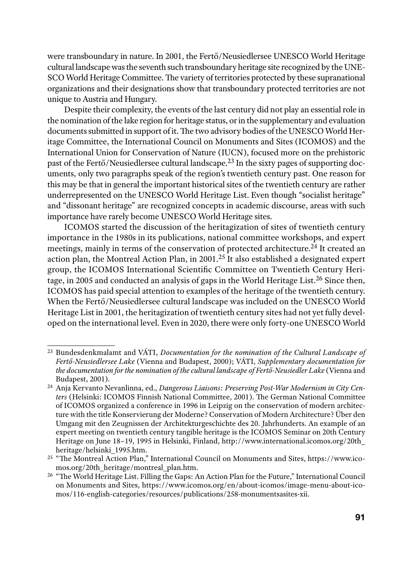were transboundary in nature. In 2001, the Fertő/Neusiedlersee UNESCO World Heritage cultural landscape was the seventh such transboundary heritage site recognized by the UNE-SCO World Heritage Committee. The variety of territories protected by these supranational organizations and their designations show that transboundary protected territories are not unique to Austria and Hungary.

Despite their complexity, the events of the last century did not play an essential role in the nomination of the lake region for heritage status, or in the supplementary and evaluation documents submitted in support of it. The two advisory bodies of the UNESCO World Heritage Committee, the International Council on Monuments and Sites (ICOMOS) and the International Union for Conservation of Nature (IUCN), focused more on the prehistoric past of the Fertő/Neusiedlersee cultural landscape.23 In the sixty pages of supporting documents, only two paragraphs speak of the region's twentieth century past. One reason for this may be that in general the important historical sites of the twentieth century are rather underrepresented on the UNESCO World Heritage List. Even though "socialist heritage" and "dissonant heritage" are recognized concepts in academic discourse, areas with such importance have rarely become UNESCO World Heritage sites.

ICOMOS started the discussion of the heritagization of sites of twentieth century importance in the 1980s in its publications, national committee workshops, and expert meetings, mainly in terms of the conservation of protected architecture.24 It created an action plan, the Montreal Action Plan, in 2001.25 It also established a designated expert group, the ICOMOS International Scientific Committee on Twentieth Century Heritage, in 2005 and conducted an analysis of gaps in the World Heritage List.<sup>26</sup> Since then, ICOMOS has paid special attention to examples of the heritage of the twentieth century. When the Fertő/Neusiedlersee cultural landscape was included on the UNESCO World Heritage List in 2001, the heritagization of twentieth century sites had not yet fully developed on the international level. Even in 2020, there were only forty-one UNESCO World

<sup>23</sup> Bundesdenkmalamt and VÁTI, *Documentation for the nomination of the Cultural Landscape of Fertő-Neusiedlersee Lake* (Vienna and Budapest, 2000); VÁTI, *Supplementary documentation for the documentation for the nomination of the cultural landscape of Fertő-Neusiedler Lake* (Vienna and Budapest, 2001).

<sup>24</sup> Anja Kervanto Nevanlinna, ed., *Dangerous Liaisons: Preserving Post-War Modernism in City Centers* (Helsinki: ICOMOS Finnish National Committee, 2001). The German National Committee of ICOMOS organized a conference in 1996 in Leipzig on the conservation of modern architecture with the title Konservierung der Moderne? Conservation of Modern Architecture? Über den Umgang mit den Zeugnissen der Architekturgeschichte des 20. Jahrhunderts. An example of an expert meeting on twentieth century tangible heritage is the ICOMOS Seminar on 20th Century Heritage on June 18–19, 1995 in Helsinki, Finland, http://www.international.icomos.org/20th\_ heritage/helsinki\_1995.htm. 25 "The Montreal Action Plan," International Council on Monuments and Sites, https://www.ico-

mos.org/20th\_heritage/montreal\_plan.htm.

<sup>26</sup> "The World Heritage List. Filling the Gaps: An Action Plan for the Future," International Council on Monuments and Sites, https://www.icomos.org/en/about-icomos/image-menu-about-icomos/116-english-categories/resources/publications/258-monumentsasites-xii.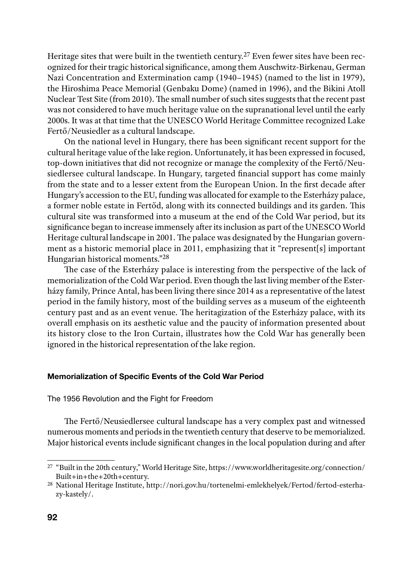Heritage sites that were built in the twentieth century.<sup>27</sup> Even fewer sites have been recognized for their tragic historical significance, among them Auschwitz-Birkenau, German Nazi Concentration and Extermination camp (1940–1945) (named to the list in 1979), the Hiroshima Peace Memorial (Genbaku Dome) (named in 1996), and the Bikini Atoll Nuclear Test Site (from 2010). The small number of such sites suggests that the recent past was not considered to have much heritage value on the supranational level until the early 2000s. It was at that time that the UNESCO World Heritage Committee recognized Lake Fertő/Neusiedler as a cultural landscape.

On the national level in Hungary, there has been significant recent support for the cultural heritage value of the lake region. Unfortunately, it has been expressed in focused, top-down initiatives that did not recognize or manage the complexity of the Fertő/Neusiedlersee cultural landscape. In Hungary, targeted financial support has come mainly from the state and to a lesser extent from the European Union. In the first decade after Hungary's accession to the EU, funding was allocated for example to the Esterházy palace, a former noble estate in Fertőd, along with its connected buildings and its garden. This cultural site was transformed into a museum at the end of the Cold War period, but its significance began to increase immensely after its inclusion as part of the UNESCO World Heritage cultural landscape in 2001. The palace was designated by the Hungarian government as a historic memorial place in 2011, emphasizing that it "represent[s] important Hungarian historical moments."28

The case of the Esterházy palace is interesting from the perspective of the lack of memorialization of the Cold War period. Even though the last living member of the Esterházy family, Prince Antal, has been living there since 2014 as a representative of the latest period in the family history, most of the building serves as a museum of the eighteenth century past and as an event venue. The heritagization of the Esterházy palace, with its overall emphasis on its aesthetic value and the paucity of information presented about its history close to the Iron Curtain, illustrates how the Cold War has generally been ignored in the historical representation of the lake region.

### Memorialization of Specific Events of the Cold War Period

The 1956 Revolution and the Fight for Freedom

The Fertő/Neusiedlersee cultural landscape has a very complex past and witnessed numerous moments and periods in the twentieth century that deserve to be memorialized. Major historical events include significant changes in the local population during and after

<sup>&</sup>lt;sup>27</sup> "Built in the 20th century," World Heritage Site, https://www.worldheritagesite.org/connection/<br>Built+in+the+20th+century.

<sup>&</sup>lt;sup>28</sup> National Heritage Institute, http://nori.gov.hu/tortenelmi-emlekhelyek/Fertod/fertod-esterhazy-kastely/.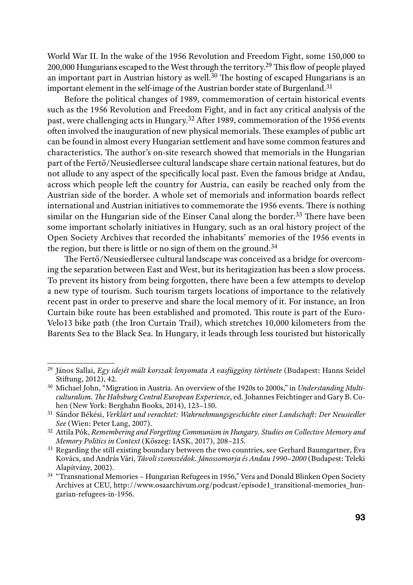World War II. In the wake of the 1956 Revolution and Freedom Fight, some 150,000 to 200,000 Hungarians escaped to the West through the territory.<sup>29</sup> This flow of people played an important part in Austrian history as well.<sup>30</sup> The hosting of escaped Hungarians is an important element in the self-image of the Austrian border state of Burgenland.<sup>31</sup>

Before the political changes of 1989, commemoration of certain historical events such as the 1956 Revolution and Freedom Fight, and in fact any critical analysis of the past, were challenging acts in Hungary.32 After 1989, commemoration of the 1956 events often involved the inauguration of new physical memorials. These examples of public art can be found in almost every Hungarian settlement and have some common features and characteristics. The author's on-site research showed that memorials in the Hungarian part of the Fertő/Neusiedlersee cultural landscape share certain national features, but do not allude to any aspect of the specifically local past. Even the famous bridge at Andau, across which people left the country for Austria, can easily be reached only from the Austrian side of the border. A whole set of memorials and information boards reflect international and Austrian initiatives to commemorate the 1956 events. There is nothing similar on the Hungarian side of the Einser Canal along the border.<sup>33</sup> There have been some important scholarly initiatives in Hungary, such as an oral history project of the Open Society Archives that recorded the inhabitants' memories of the 1956 events in the region, but there is little or no sign of them on the ground.<sup>34</sup>

The Fertő/Neusiedlersee cultural landscape was conceived as a bridge for overcoming the separation between East and West, but its heritagization has been a slow process. To prevent its history from being forgotten, there have been a few attempts to develop a new type of tourism. Such tourism targets locations of importance to the relatively recent past in order to preserve and share the local memory of it. For instance, an Iron Curtain bike route has been established and promoted. This route is part of the Euro-Velo13 bike path (the Iron Curtain Trail), which stretches 10,000 kilometers from the Barents Sea to the Black Sea. In Hungary, it leads through less touristed but historically

<sup>29</sup> János Sallai, *Egy idejét múlt korszak lenyomata A vasfüggöny története* (Budapest: Hanns Seidel Stiftung, 2012), 42.

<sup>30</sup> Michael John, "Migration in Austria. An overview of the 1920s to 2000s," in *Understanding Multiculturalism. The Habsburg Central European Experience*, ed. Johannes Feichtinger and Gary B. Cohen (New York: Berghahn Books, 2014), 123–150.

<sup>31</sup> Sándor Békési, *Verklärt und verachtet: Wahrnehmungsgeschichte einer Landschaft: Der Neusiedler See* (Wien: Peter Lang, 2007).

<sup>32</sup> Attila Pók, *Remembering and Forgetting Communism in Hungary. Studies on Collective Memory and Memory Politics in Context* (Kőszeg: IASK, 2017), 208*–*215.

<sup>&</sup>lt;sup>33</sup> Regarding the still existing boundary between the two countries, see Gerhard Baumgartner, Éva Kovács, and András Vári, *Távoli szomszédok. Jánossomorja és Andau 1990–2000* (Budapest: Teleki Alapítvány, 2002).

<sup>34</sup> "Transnational Memories – Hungarian Refugees in 1956," Vera and Donald Blinken Open Society Archives at CEU, http://www.osaarchivum.org/podcast/episode1\_transitional-memories\_hungarian-refugees-in-1956.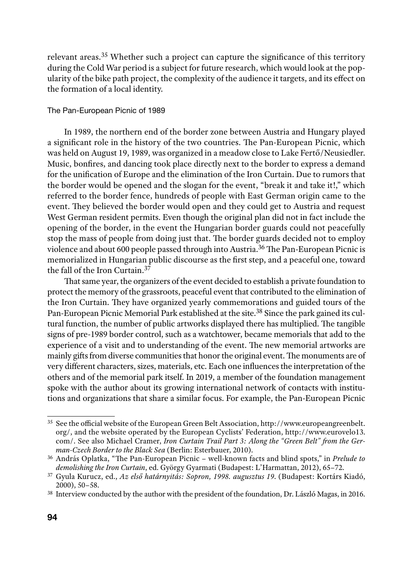relevant areas.35 Whether such a project can capture the significance of this territory during the Cold War period is a subject for future research, which would look at the popularity of the bike path project, the complexity of the audience it targets, and its effect on the formation of a local identity.

## The Pan-European Picnic of 1989

In 1989, the northern end of the border zone between Austria and Hungary played a significant role in the history of the two countries. The Pan-European Picnic, which was held on August 19, 1989, was organized in a meadow close to Lake Fertő/Neusiedler. Music, bonfires, and dancing took place directly next to the border to express a demand for the unification of Europe and the elimination of the Iron Curtain. Due to rumors that the border would be opened and the slogan for the event, "break it and take it!," which referred to the border fence, hundreds of people with East German origin came to the event. They believed the border would open and they could get to Austria and request West German resident permits. Even though the original plan did not in fact include the opening of the border, in the event the Hungarian border guards could not peacefully stop the mass of people from doing just that. The border guards decided not to employ violence and about 600 people passed through into Austria.36 The Pan-European Picnic is memorialized in Hungarian public discourse as the first step, and a peaceful one, toward the fall of the Iron Curtain.<sup>37</sup>

That same year, the organizers of the event decided to establish a private foundation to protect the memory of the grassroots, peaceful event that contributed to the elimination of the Iron Curtain. They have organized yearly commemorations and guided tours of the Pan-European Picnic Memorial Park established at the site.<sup>38</sup> Since the park gained its cultural function, the number of public artworks displayed there has multiplied. The tangible signs of pre-1989 border control, such as a watchtower, became memorials that add to the experience of a visit and to understanding of the event. The new memorial artworks are mainly gifts from diverse communities that honor the original event. The monuments are of very different characters, sizes, materials, etc. Each one influences the interpretation of the others and of the memorial park itself. In 2019, a member of the foundation management spoke with the author about its growing international network of contacts with institutions and organizations that share a similar focus. For example, the Pan-European Picnic

<sup>35</sup> See the official website of the European Green Belt Association, http://www.europeangreenbelt. org/, and the website operated by the European Cyclists' Federation, http://www.eurovelo13. com/. See also Michael Cramer, *Iron Curtain Trail Part 3: Along the "Green Belt" from the Ger-*

*man-Czech Border to the Black Sea* (Berlin: Esterbauer, 2010).<br><sup>36</sup> András Oplatka, "The Pan-European Picnic – well-known facts and blind spots," in *Prelude to demolishing the Iron Curtain*, ed. György Gyarmati (Budapest

*demolishing the Iron Curtain*, ed. György Gyarmati (Budapest: L'Harmattan, 2012), 65*–*72. 37 Gyula Kurucz, ed., *Az első határnyitás: Sopron, 1998. augusztus 19*. (Budapest: Kortárs Kiadó, 2000), 50*–*58.

<sup>38</sup> Interview conducted by the author with the president of the foundation, Dr. László Magas, in 2016.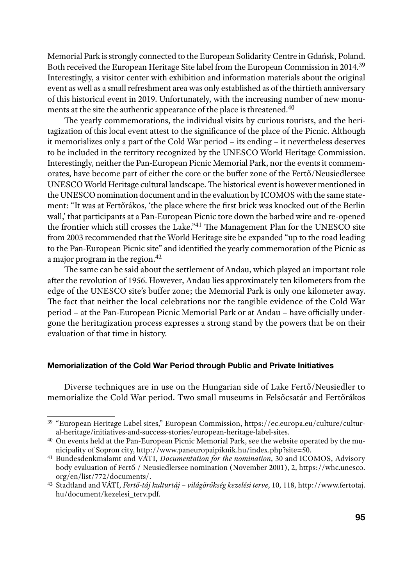Memorial Park is strongly connected to the European Solidarity Centre in Gdańsk, Poland. Both received the European Heritage Site label from the European Commission in 2014.39 Interestingly, a visitor center with exhibition and information materials about the original event as well as a small refreshment area was only established as of the thirtieth anniversary of this historical event in 2019. Unfortunately, with the increasing number of new monuments at the site the authentic appearance of the place is threatened.<sup>40</sup>

The yearly commemorations, the individual visits by curious tourists, and the heritagization of this local event attest to the significance of the place of the Picnic. Although it memorializes only a part of the Cold War period – its ending – it nevertheless deserves to be included in the territory recognized by the UNESCO World Heritage Commission. Interestingly, neither the Pan-European Picnic Memorial Park, nor the events it commemorates, have become part of either the core or the buffer zone of the Fertő/Neusiedlersee UNESCO World Heritage cultural landscape. The historical event is however mentioned in the UNESCO nomination document and in the evaluation by ICOMOS with the same statement: "It was at Fertőrákos, 'the place where the first brick was knocked out of the Berlin wall,' that participants at a Pan-European Picnic tore down the barbed wire and re-opened the frontier which still crosses the Lake."41 The Management Plan for the UNESCO site from 2003 recommended that the World Heritage site be expanded "up to the road leading to the Pan-European Picnic site" and identified the yearly commemoration of the Picnic as a major program in the region.42

The same can be said about the settlement of Andau, which played an important role after the revolution of 1956. However, Andau lies approximately ten kilometers from the edge of the UNESCO site's buffer zone; the Memorial Park is only one kilometer away. The fact that neither the local celebrations nor the tangible evidence of the Cold War period – at the Pan-European Picnic Memorial Park or at Andau – have officially undergone the heritagization process expresses a strong stand by the powers that be on their evaluation of that time in history.

### Memorialization of the Cold War Period through Public and Private Initiatives

Diverse techniques are in use on the Hungarian side of Lake Fertő/Neusiedler to memorialize the Cold War period. Two small museums in Felsőcsatár and Fertőrákos

<sup>39</sup> "European Heritage Label sites," European Commission, https://ec.europa.eu/culture/cultural-heritage/initiatives-and-success-stories/european-heritage-label-sites.

<sup>40</sup> On events held at the Pan-European Picnic Memorial Park, see the website operated by the municipality of Sopron city, http://www.paneuropaipiknik.hu/index.php?site=50.

<sup>41</sup> Bundesdenkmalamt and VÁTI, *Documentation for the nomination*, 30 and ICOMOS, Advisory body evaluation of Fertő / Neusiedlersee nomination (November 2001), 2, https://whc.unesco. org/en/list/772/documents/. 42 Stadtland and VÁTI, *Fertő-táj kulturtáj – világörökség kezelési terve*, 10, 118, http://www.fertotaj.

hu/document/kezelesi\_terv.pdf.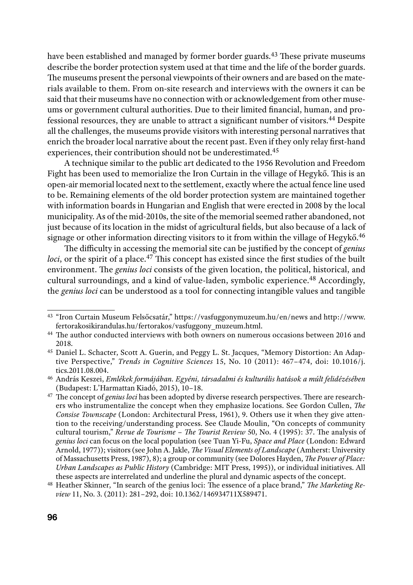have been established and managed by former border guards.<sup>43</sup> These private museums describe the border protection system used at that time and the life of the border guards. The museums present the personal viewpoints of their owners and are based on the materials available to them. From on-site research and interviews with the owners it can be said that their museums have no connection with or acknowledgement from other museums or government cultural authorities. Due to their limited financial, human, and professional resources, they are unable to attract a significant number of visitors.44 Despite all the challenges, the museums provide visitors with interesting personal narratives that enrich the broader local narrative about the recent past. Even if they only relay first-hand experiences, their contribution should not be underestimated.45

A technique similar to the public art dedicated to the 1956 Revolution and Freedom Fight has been used to memorialize the Iron Curtain in the village of Hegykő. This is an open-air memorial located next to the settlement, exactly where the actual fence line used to be. Remaining elements of the old border protection system are maintained together with information boards in Hungarian and English that were erected in 2008 by the local municipality. As of the mid-2010s, the site of the memorial seemed rather abandoned, not just because of its location in the midst of agricultural fields, but also because of a lack of signage or other information directing visitors to it from within the village of Hegykő.<sup>46</sup>

The difficulty in accessing the memorial site can be justified by the concept of *genius loci*, or the spirit of a place.<sup>47</sup> This concept has existed since the first studies of the built environment. The *genius loci* consists of the given location, the political, historical, and cultural surroundings, and a kind of value-laden, symbolic experience.<sup>48</sup> Accordingly, the *genius loci* can be understood as a tool for connecting intangible values and tangible

<sup>43</sup> "Iron Curtain Museum Felsőcsatár," https://vasfuggonymuzeum.hu/en/news and http://www. fertorakosikirandulas.hu/fertorakos/vasfuggony\_muzeum.html. 44 The author conducted interviews with both owners on numerous occasions between 2016 and

<sup>2018.&</sup>lt;br><sup>45</sup> Daniel L. Schacter, Scott A. Guerin, and Peggy L. St. Jacques, "Memory Distortion: An Adap-

tive Perspective," *Trends in Cognitive Sciences* 15, No. 10 (2011): 467*–*474, doi: 10.1016/j. tics.2011.08.004.

<sup>46</sup> András Keszei, *Emlékek formájában. Egyéni, társadalmi és kulturális hatások a múlt felidézésében* (Budapest: L'Harmattan Kiadó, 2015), 10*–*18. 47 The concept of *genius loci* has been adopted by diverse research perspectives. There are research-

ers who instrumentalize the concept when they emphasize locations. See Gordon Cullen, *The Consise Townscape* (London: Architectural Press, 1961), 9. Others use it when they give attention to the receiving/understanding process. See Claude Moulin, "On concepts of community cultural tourism," *Revue de Tourisme – The Tourist Review* 50, No. 4 (1995): 37. The analysis of *genius loci* can focus on the local population (see Tuan Yi-Fu, *Space and Place* (London: Edward Arnold, 1977)); visitors (see John A. Jakle, *The Visual Elements of Landscape* (Amherst: University of Massachusetts Press, 1987), 8); a group or community (see Dolores Hayden, *The Power of Place: Urban Landscapes as Public History* (Cambridge: MIT Press, 1995)), or individual initiatives. All these aspects are interrelated and underline the plural and dynamic aspects of the concept.

<sup>48</sup> Heather Skinner, "In search of the genius loci: The essence of a place brand," *The Marketing Review* 11, No. 3. (2011): 281*–*292, doi: 10.1362/146934711X589471.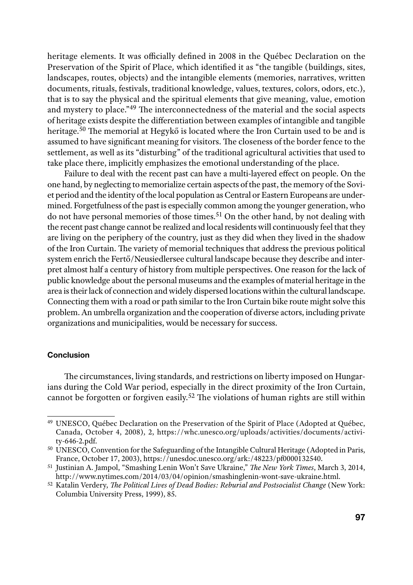heritage elements. It was officially defined in 2008 in the Québec Declaration on the Preservation of the Spirit of Place*,* which identified it as "the tangible (buildings, sites, landscapes, routes, objects) and the intangible elements (memories, narratives, written documents, rituals, festivals, traditional knowledge, values, textures, colors, odors, etc.), that is to say the physical and the spiritual elements that give meaning, value, emotion and mystery to place."49 The interconnectedness of the material and the social aspects of heritage exists despite the differentiation between examples of intangible and tangible heritage.50 The memorial at Hegykő is located where the Iron Curtain used to be and is assumed to have significant meaning for visitors. The closeness of the border fence to the settlement, as well as its "disturbing" of the traditional agricultural activities that used to take place there, implicitly emphasizes the emotional understanding of the place.

Failure to deal with the recent past can have a multi-layered effect on people. On the one hand, by neglecting to memorialize certain aspects of the past, the memory of the Soviet period and the identity of the local population as Central or Eastern Europeans are undermined. Forgetfulness of the past is especially common among the younger generation, who do not have personal memories of those times.<sup>51</sup> On the other hand, by not dealing with the recent past change cannot be realized and local residents will continuously feel that they are living on the periphery of the country, just as they did when they lived in the shadow of the Iron Curtain. The variety of memorial techniques that address the previous political system enrich the Fertő/Neusiedlersee cultural landscape because they describe and interpret almost half a century of history from multiple perspectives. One reason for the lack of public knowledge about the personal museums and the examples of material heritage in the area is their lack of connection and widely dispersed locations within the cultural landscape. Connecting them with a road or path similar to the Iron Curtain bike route might solve this problem. An umbrella organization and the cooperation of diverse actors, including private organizations and municipalities, would be necessary for success.

## Conclusion

The circumstances, living standards, and restrictions on liberty imposed on Hungarians during the Cold War period, especially in the direct proximity of the Iron Curtain, cannot be forgotten or forgiven easily.52 The violations of human rights are still within

<sup>49</sup> UNESCO, Québec Declaration on the Preservation of the Spirit of Place (Adopted at Québec, Canada, October 4, 2008), 2, https://whc.unesco.org/uploads/activities/documents/activity-646-2.pdf.

<sup>50</sup> UNESCO, Convention for the Safeguarding of the Intangible Cultural Heritage (Adopted in Paris, France, October 17, 2003), https://unesdoc.unesco.org/ark:/48223/pf0000132540.

<sup>51</sup> Justinian A. Jampol, "Smashing Lenin Won't Save Ukraine," *The New York Times*, March 3, 2014,

http://www.nytimes.com/2014/03/04/opinion/smashinglenin-wont-save-ukraine.html. 52 Katalin Verdery, *The Political Lives of Dead Bodies: Reburial and Postsocialist Change* (New York: Columbia University Press, 1999), 85.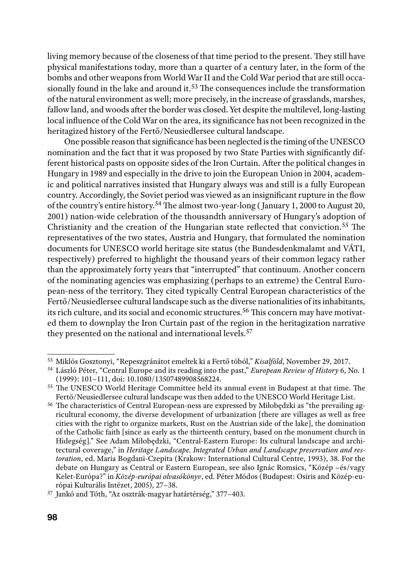living memory because of the closeness of that time period to the present. They still have physical manifestations today, more than a quarter of a century later, in the form of the bombs and other weapons from World War II and the Cold War period that are still occasionally found in the lake and around it.<sup>53</sup> The consequences include the transformation of the natural environment as well; more precisely, in the increase of grasslands, marshes, fallow land, and woods after the border was closed. Yet despite the multilevel, long-lasting local influence of the Cold War on the area, its significance has not been recognized in the heritagized history of the Fertő/Neusiedlersee cultural landscape.

One possible reason that significance has been neglected is the timing of the UNESCO nomination and the fact that it was proposed by two State Parties with significantly different historical pasts on opposite sides of the Iron Curtain. After the political changes in Hungary in 1989 and especially in the drive to join the European Union in 2004, academic and political narratives insisted that Hungary always was and still is a fully European country. Accordingly, the Soviet period was viewed as an insignificant rupture in the flow of the country's entire history.54 The almost two-year-long ( January 1, 2000 to August 20, 2001) nation-wide celebration of the thousandth anniversary of Hungary's adoption of Christianity and the creation of the Hungarian state reflected that conviction.55 The representatives of the two states, Austria and Hungary, that formulated the nomination documents for UNESCO world heritage site status (the Bundesdenkmalamt and VÁTI, respectively) preferred to highlight the thousand years of their common legacy rather than the approximately forty years that "interrupted" that continuum. Another concern of the nominating agencies was emphasizing (perhaps to an extreme) the Central European-ness of the territory. They cited typically Central European characteristics of the Fertő/Neusiedlersee cultural landscape such as the diverse nationalities of its inhabitants, its rich culture, and its social and economic structures.56 This concern may have motivated them to downplay the Iron Curtain past of the region in the heritagization narrative they presented on the national and international levels.<sup>57</sup>

<sup>53</sup> Miklós Gosztonyi, "Repeszgránátot emeltek ki a Fertő tóból," *Kisalföld*, November 29, 2017.

<sup>54</sup> László Péter, "Central Europe and its reading into the past," *European Review of History* 6, No. 1

<sup>&</sup>lt;sup>55</sup> The UNESCO World Heritage Committee held its annual event in Budapest at that time. The Fertő/Neusiedlersee cultural landscape was then added to the UNESCO World Heritage List.

<sup>56</sup> The characteristics of Central European-ness are expressed by Miłobędzki as "the prevailing agricultural economy, the diverse development of urbanization [there are villages as well as free cities with the right to organize markets, Rust on the Austrian side of the lake], the domination of the Catholic faith [since as early as the thirteenth century, based on the monument church in Hidegség]." See Adam Miłobędzki, "Central-Eastern Europe: Its cultural landscape and architectural coverage," in *Heritage Landscape. Integrated Urban and Landscape preservation and restoration*, ed. Maria Bogdani-Czepita (Krakow: International Cultural Centre, 1993), 38. For the debate on Hungary as Central or Eastern European, see also Ignác Romsics, "Közép –és/vagy Kelet-Európa?" in *Közép-európai olvasókönyv*, ed. Péter Módos (Budapest: Osiris and Közép-európai Kulturális Intézet, 2005), 27*–*38.

<sup>57</sup> Jankó and Tóth, "Az osztrák-magyar határtérség," 377*–*403.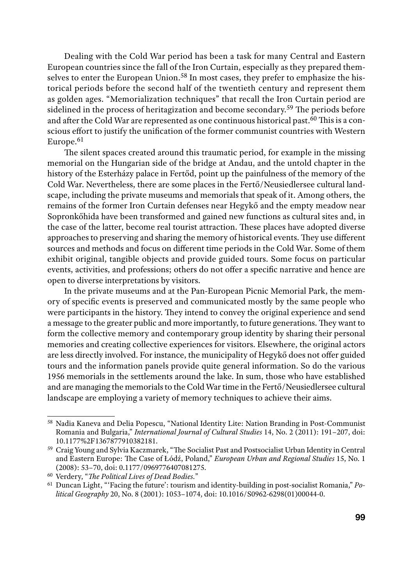Dealing with the Cold War period has been a task for many Central and Eastern European countries since the fall of the Iron Curtain, especially as they prepared themselves to enter the European Union.<sup>58</sup> In most cases, they prefer to emphasize the historical periods before the second half of the twentieth century and represent them as golden ages. "Memorialization techniques" that recall the Iron Curtain period are sidelined in the process of heritagization and become secondary.59 The periods before and after the Cold War are represented as one continuous historical past.<sup> $\bar{60}$ </sup> This is a conscious effort to justify the unification of the former communist countries with Western Europe.<sup>61</sup>

The silent spaces created around this traumatic period, for example in the missing memorial on the Hungarian side of the bridge at Andau, and the untold chapter in the history of the Esterházy palace in Fertőd, point up the painfulness of the memory of the Cold War. Nevertheless, there are some places in the Fertő/Neusiedlersee cultural landscape, including the private museums and memorials that speak of it. Among others, the remains of the former Iron Curtain defenses near Hegykő and the empty meadow near Sopronkőhida have been transformed and gained new functions as cultural sites and, in the case of the latter, become real tourist attraction. These places have adopted diverse approaches to preserving and sharing the memory of historical events. They use different sources and methods and focus on different time periods in the Cold War. Some of them exhibit original, tangible objects and provide guided tours. Some focus on particular events, activities, and professions; others do not offer a specific narrative and hence are open to diverse interpretations by visitors.

In the private museums and at the Pan-European Picnic Memorial Park, the memory of specific events is preserved and communicated mostly by the same people who were participants in the history. They intend to convey the original experience and send a message to the greater public and more importantly, to future generations. They want to form the collective memory and contemporary group identity by sharing their personal memories and creating collective experiences for visitors. Elsewhere, the original actors are less directly involved. For instance, the municipality of Hegykő does not offer guided tours and the information panels provide quite general information. So do the various 1956 memorials in the settlements around the lake. In sum, those who have established and are managing the memorials to the Cold War time in the Fertő/Neusiedlersee cultural landscape are employing a variety of memory techniques to achieve their aims.

<sup>58</sup> Nadia Kaneva and Delia Popescu, "National Identity Lite: Nation Branding in Post-Communist Romania and Bulgaria," *International Journal of Cultural Studies* 14, No. 2 (2011): 191*–*207, doi: 10.1177%2F1367877910382181.

<sup>59</sup> Craig Young and Sylvia Kaczmarek, "The Socialist Past and Postsocialist Urban Identity in Central and Eastern Europe: The Case of Łódź, Poland," *European Urban and Regional Studies* 15, No. 1 (2008): 53*–*70, doi: 0.1177/0969776407081275.

<sup>60</sup> Verdery, "*The Political Lives of Dead Bodies.*"

<sup>61</sup> Duncan Light, "'Facing the future': tourism and identity-building in post-socialist Romania," *Political Geography* 20, No. 8 (2001): 1053*–*1074, doi: 10.1016/S0962-6298(01)00044-0.